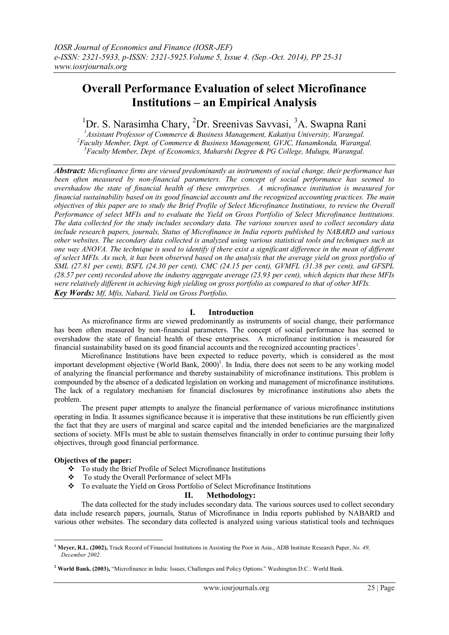# **Overall Performance Evaluation of select Microfinance Institutions – an Empirical Analysis**

## <sup>1</sup>Dr. S. Narasimha Chary, <sup>2</sup>Dr. Sreenivas Savvasi, <sup>3</sup>A. Swapna Rani

*<sup>1</sup>Assistant Professor of Commerce & Business Management, Kakatiya University, Warangal. <sup>2</sup>Faculty Member, Dept. of Commerce & Business Management, GVJC, Hanamkonda, Warangal. <sup>3</sup>Faculty Member, Dept. of Economics, Maharshi Degree & PG College, Mulugu, Warangal.*

*Abstract: Microfinance firms are viewed predominantly as instruments of social change, their performance has been often measured by non-financial parameters. The concept of social performance has seemed to overshadow the state of financial health of these enterprises. A microfinance institution is measured for financial sustainability based on its good financial accounts and the recognized accounting practices. The main objectives of this paper are to study the Brief Profile of Select Microfinance Institutions, to review the Overall Performance of select MFIs and to evaluate the Yield on Gross Portfolio of Select Microfinance Institutions. The data collected for the study includes secondary data. The various sources used to collect secondary data include research papers, journals, Status of Microfinance in India reports published by NABARD and various other websites. The secondary data collected is analyzed using various statistical tools and techniques such as one way ANOVA. The technique is used to identify if there exist a significant difference in the mean of different of select MFIs. As such, it has been observed based on the analysis that the average yield on gross portfolio of SML (27.81 per cent), BSFL (24.30 per cent), CMC (24.15 per cent), GVMFL (31.38 per cent), and GFSPL (28.57 per cent) recorded above the industry aggregate average (23.93 per cent), which depicts that these MFIs were relatively different in achieving high yielding on gross portfolio as compared to that of other MFIs. Key Words: Mf, Mfis, Nabard, Yield on Gross Portfolio.*

## **I. Introduction**

As microfinance firms are viewed predominantly as instruments of social change, their performance has been often measured by non-financial parameters. The concept of social performance has seemed to overshadow the state of financial health of these enterprises. A microfinance institution is measured for financial sustainability based on its good financial accounts and the recognized accounting practices<sup>1</sup>.

Microfinance Institutions have been expected to reduce poverty, which is considered as the most important development objective (World Bank, 2000)<sup>1</sup>. In India, there does not seem to be any working model of analyzing the financial performance and thereby sustainability of microfinance institutions. This problem is compounded by the absence of a dedicated legislation on working and management of microfinance institutions. The lack of a regulatory mechanism for financial disclosures by microfinance institutions also abets the problem.

The present paper attempts to analyze the financial performance of various microfinance institutions operating in India. It assumes significance because it is imperative that these institutions be run efficiently given the fact that they are users of marginal and scarce capital and the intended beneficiaries are the marginalized sections of society. MFIs must be able to sustain themselves financially in order to continue pursuing their lofty objectives, through good financial performance.

## **Objectives of the paper:**

- To study the Brief Profile of Select Microfinance Institutions
- To study the Overall Performance of select MFIs
- To evaluate the Yield on Gross Portfolio of Select Microfinance Institutions

## **II. Methodology:**

The data collected for the study includes secondary data. The various sources used to collect secondary data include research papers, journals, Status of Microfinance in India reports published by NABARD and various other websites. The secondary data collected is analyzed using various statistical tools and techniques

<sup>1</sup> **<sup>1</sup> Meyer, R.L. (2002),** Track Record of Financial Institutions in Assisting the Poor in Asia., ADB Institute Research Paper, *No. 49, December 2002.* 

**<sup>2</sup> World Bank. (2003),** "Microfinance in India: Issues, Challenges and Policy Options." Washington D.C.: World Bank.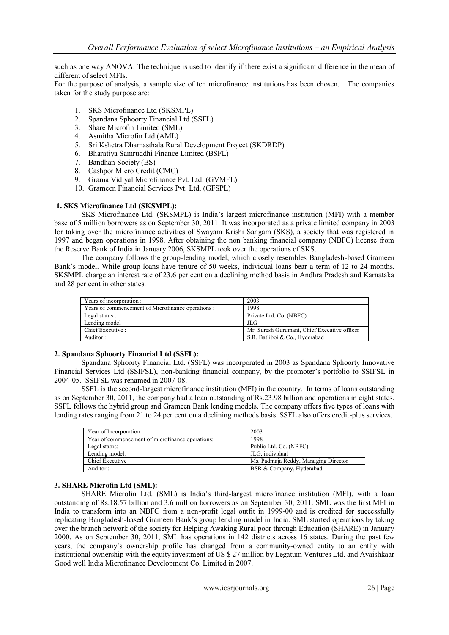such as one way ANOVA. The technique is used to identify if there exist a significant difference in the mean of different of select MFIs.

For the purpose of analysis, a sample size of ten microfinance institutions has been chosen. The companies taken for the study purpose are:

- 1. SKS Microfinance Ltd (SKSMPL)
- 2. Spandana Sphoorty Financial Ltd (SSFL)
- 3. Share Microfin Limited (SML)
- 4. Asmitha Microfin Ltd (AML)
- 5. Sri Kshetra Dhamasthala Rural Development Project (SKDRDP)
- 6. Bharatiya Samruddhi Finance Limited (BSFL)
- 7. Bandhan Society (BS)
- 8. Cashpor Micro Credit (CMC)
- 9. Grama Vidiyal Microfinance Pvt. Ltd. (GVMFL)
- 10. Grameen Financial Services Pvt. Ltd. (GFSPL)

#### **1. SKS Microfinance Ltd (SKSMPL):**

SKS Microfinance Ltd. (SKSMPL) is India"s largest microfinance institution (MFI) with a member base of 5 million borrowers as on September 30, 2011. It was incorporated as a private limited company in 2003 for taking over the microfinance activities of Swayam Krishi Sangam (SKS), a society that was registered in 1997 and began operations in 1998. After obtaining the non banking financial company (NBFC) license from the Reserve Bank of India in January 2006, SKSMPL took over the operations of SKS.

The company follows the group-lending model, which closely resembles Bangladesh-based Grameen Bank's model. While group loans have tenure of 50 weeks, individual loans bear a term of 12 to 24 months. SKSMPL charge an interest rate of 23.6 per cent on a declining method basis in Andhra Pradesh and Karnataka and 28 per cent in other states.

| Years of incorporation:                            | 2003                                         |
|----------------------------------------------------|----------------------------------------------|
| Years of commencement of Microfinance operations : | 1998                                         |
| Legal status :                                     | Private Ltd. Co. (NBFC)                      |
| Lending model:                                     | JLG                                          |
| Chief Executive:                                   | Mr. Suresh Gurumani, Chief Executive officer |
| Auditor:                                           | S.R. Batliboi & Co., Hyderabad               |

## **2. Spandana Sphoorty Financial Ltd (SSFL):**

Spandana Sphoorty Financial Ltd. (SSFL) was incorporated in 2003 as Spandana Sphoorty Innovative Financial Services Ltd (SSIFSL), non-banking financial company, by the promoter's portfolio to SSIFSL in 2004-05. SSIFSL was renamed in 2007-08.

SSFL is the second-largest microfinance institution (MFI) in the country. In terms of loans outstanding as on September 30, 2011, the company had a loan outstanding of Rs.23.98 billion and operations in eight states. SSFL follows the hybrid group and Grameen Bank lending models. The company offers five types of loans with lending rates ranging from 21 to 24 per cent on a declining methods basis. SSFL also offers credit-plus services.

| Year of Incorporation:                           | 2003                                 |
|--------------------------------------------------|--------------------------------------|
| Year of commencement of microfinance operations: | 1998                                 |
| Legal status:                                    | Public Ltd. Co. (NBFC)               |
| Lending model:                                   | JLG. individual                      |
| Chief Executive :                                | Ms. Padmaja Reddy, Managing Director |
| Auditor:                                         | BSR & Company, Hyderabad             |

#### **3. SHARE Microfin Ltd (SML):**

SHARE Microfin Ltd. (SML) is India"s third-largest microfinance institution (MFI), with a loan outstanding of Rs.18.57 billion and 3.6 million borrowers as on September 30, 2011. SML was the first MFI in India to transform into an NBFC from a non-profit legal outfit in 1999-00 and is credited for successfully replicating Bangladesh-based Grameen Bank"s group lending model in India. SML started operations by taking over the branch network of the society for Helping Awaking Rural poor through Education (SHARE) in January 2000. As on September 30, 2011, SML has operations in 142 districts across 16 states. During the past few years, the company"s ownership profile has changed from a community-owned entity to an entity with institutional ownership with the equity investment of US \$ 27 million by Legatum Ventures Ltd. and Avaishkaar Good well India Microfinance Development Co. Limited in 2007.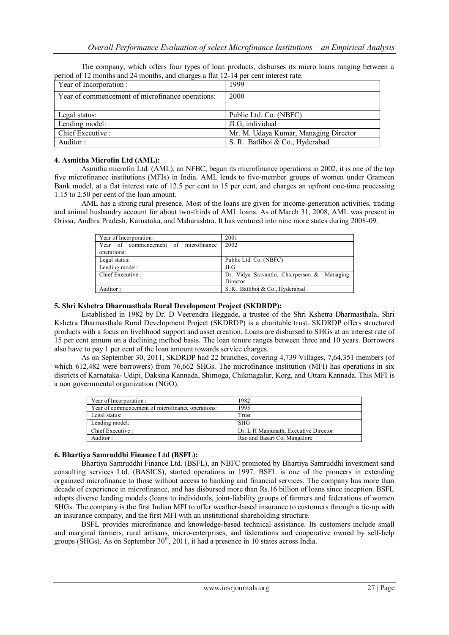The company, which offers four types of loan products, disburses its micro loans ranging between a period of 12 months and 24 months, and charges a flat 12-14 per cent interest rate.

| Year of Incorporation :                          | 1999                                  |
|--------------------------------------------------|---------------------------------------|
| Year of commencement of microfinance operations: | 2000                                  |
|                                                  |                                       |
| Legal status:                                    | Public Ltd. Co. (NBFC)                |
| Lending model:                                   | JLG, individual                       |
| Chief Executive :                                | Mr. M. Udaya Kumar, Managing Director |
| Auditor:                                         | S. R. Batliboi & Co., Hyderabad       |

## **4. Asmitha Microfin Ltd (AML):**

Asmitha microfin Ltd. (AML), an NFBC, began its microfinance operations in 2002, it is one of the top five microfinance institutions (MFIs) in India. AML lends to five-member groups of women under Grameen Bank model, at a flat interest rate of 12.5 per cent to 15 per cent, and charges an upfront one-time processing 1.15 to 2.50 per cent of the loan amount.

AML has a strong rural presence. Most of the loans are given for income-generation activities, trading and animal husbandry account for about two-thirds of AML loans. As of March 31, 2008, AML was present in Orissa, Andhra Pradesh, Karnataka, and Maharashtra. It has ventured into nine more states during 2008-09.

| Year of Incorporation :              | 2001                                        |
|--------------------------------------|---------------------------------------------|
| Year of commencement of microfinance | 2002                                        |
| operations:                          |                                             |
| Legal status:                        | Public Ltd. Co. (NBFC)                      |
| Lending model:                       | JLG                                         |
| Chief Executive:                     | Dr. Vidya Sravanthi, Chairperson & Managing |
|                                      | Director                                    |
| Auditor:                             | S. R. Batliboi & Co., Hyderabad             |

## **5. Shri Kshetra Dharmasthala Rural Development Project (SKDRDP):**

Established in 1982 by Dr. D Veerendra Heggade, a trustee of the Shri Kshetra Dharmasthala, Shri Kshetra Dharmasthala Rural Development Project (SKDRDP) is a charitable trust. SKDRDP offers structured products with a focus on livelihood support and asset creation. Loans are disbursed to SHGs at an interest rate of 15 per cent annum on a declining method basis. The loan tenure ranges between three and 10 years. Borrowers also have to pay 1 per cent of the loan amount towards service charges.

As on September 30, 2011, SKDRDP had 22 branches, covering 4,739 Villages, 7,64,351 members (of which 612,482 were borrowers) from 76,662 SHGs. The microfinance institution (MFI) has operations in six districts of Karnataka- Udipi, Daksina Kannada, Shimoga, Chikmagalur, Korg, and Uttara Kannada. This MFI is a non governmental organization (NGO).

| Year of Incorporation :                          | 1982                                  |
|--------------------------------------------------|---------------------------------------|
| Year of commencement of microfinance operations: | 1995                                  |
| Legal status:                                    | Trust                                 |
| Lending model:                                   | <b>SHG</b>                            |
| Chief Executive :                                | Dr. L H Manjunath, Executive Director |
| Auditor:                                         | Rao and Basari Co, Mangalore          |

## **6. Bhartiya Samruddhi Finance Ltd (BSFL):**

Bhartiya Samruddhi Finance Ltd. (BSFL), an NBFC promoted by Bhartiya Samruddhi investment sand consulting services Ltd. (BASICS), started operations in 1997. BSFL is one of the pioneers in extending orgainzed microfinance to those without access to banking and financial services. The company has more than decade of experience in microfinance, and has disbursed more than Rs.16 billion of loans since inception. BSFL adopts diverse lending models (loans to individuals, joint-liability groups of farmers and federations of women SHGs. The company is the first Indian MFI to offer weather-based insurance to customers through a tie-up with an insurance company, and the first MFI with an institutional shareholding structure.

BSFL provides microfinance and knowledge-based technical assistance. Its customers include small and marginal farmers, rural artisans, micro-enterprises, and federations and cooperative owned by self-help groups (SHGs). As on September  $30<sup>th</sup>$ , 2011, it had a presence in 10 states across India.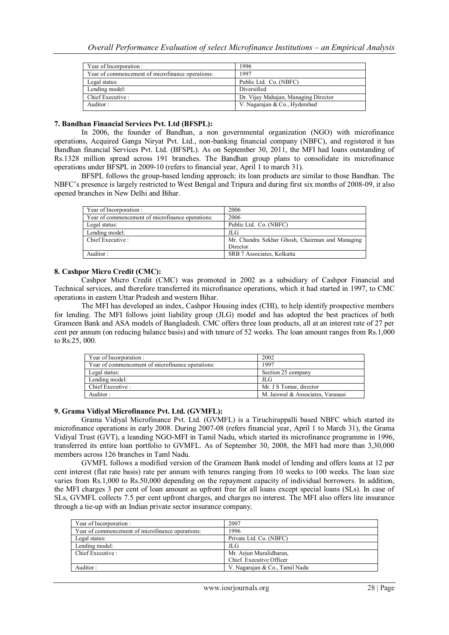| Year of Incorporation:                           | 1996                                 |
|--------------------------------------------------|--------------------------------------|
| Year of commencement of microfinance operations: | 1997                                 |
| Legal status:                                    | Public Ltd. Co. (NBFC)               |
| Lending model:                                   | Diversified                          |
| Chief Executive :                                | Dr. Vijay Mahajan, Managing Director |
| Auditor:                                         | V. Nagarajan & Co., Hyderabad        |

#### **7. Bandhan Financial Services Pvt. Ltd (BFSPL):**

In 2006, the founder of Bandhan, a non governmental organization (NGO) with microfinance operations, Acquired Ganga Niryat Pvt. Ltd., non-banking financial company (NBFC), and registered it has Bandhan financial Services Pvt. Ltd. (BFSPL). As on September 30, 2011, the MFI had loans outstanding of Rs.1328 million spread across 191 branches. The Bandhan group plans to consolidate its microfinance operations under BFSPL in 2009-10 (refers to financial year, April 1 to march 31).

BFSPL follows the group-based lending approach; its loan products are similar to those Bandhan. The NBFC"s presence is largely restricted to West Bengal and Tripura and during first six months of 2008-09, it also opened branches in New Delhi and Bihar.

| Year of Incorporation:                           | 2006                                            |
|--------------------------------------------------|-------------------------------------------------|
| Year of commencement of microfinance operations: | 2006                                            |
| Legal status:                                    | Public Ltd. Co. (NBFC)                          |
| Lending model:                                   | JLG                                             |
| Chief Executive :                                | Mr. Chandra Sekhar Ghosh, Chairman and Managing |
|                                                  | Director                                        |
| Auditor:                                         | SRB 7 Associates, Kolkatta                      |
|                                                  |                                                 |

## **8. Cashpor Micro Credit (CMC):**

Cashpor Micro Credit (CMC) was promoted in 2002 as a subsidiary of Cashpor Financial and Technical services, and therefore transferred its microfinance operations, which it had started in 1997, to CMC operations in eastern Uttar Pradesh and western Bihar.

The MFI has developed an index, Cashpor Housing index (CHI), to help identify prospective members for lending. The MFI follows joint liability group (JLG) model and has adopted the best practices of both Grameen Bank and ASA models of Bangladesh. CMC offers three loan products, all at an interest rate of 27 per cent per annum (on reducing balance basis) and with tenure of 52 weeks. The loan amount ranges from Rs.1,000 to Rs.25, 000.

| Year of Incorporation:                           | 2002                              |
|--------------------------------------------------|-----------------------------------|
| Year of commencement of microfinance operations: | 1997                              |
| Legal status:                                    | Section 25 company                |
| Lending model:                                   | JLG                               |
| Chief Executive :                                | Mr. J S Tomar, director           |
| Auditor:                                         | M. Jaiswal & Associates, Varanasi |

## **9. Grama Vidiyal Microfinance Pvt. Ltd. (GVMFL):**

Grama Vidiyal Microfinance Pvt. Ltd. (GVMFL) is a Tiruchirappalli based NBFC which started its microfinance operations in early 2008. During 2007-08 (refers financial year, April 1 to March 31), the Grama Vidiyal Trust (GVT), a leanding NGO-MFI in Tamil Nadu, which started its microfinance programme in 1996, transferred its entire loan portfolio to GVMFL. As of September 30, 2008, the MFI had more than 3,30,000 members across 126 branches in Taml Nadu.

GVMFL follows a modified version of the Grameen Bank model of lending and offers loans at 12 per cent interest (flat rate basis) rate per annum with tenures ranging from 10 weeks to 100 weeks. The loan size varies from Rs.1,000 to Rs.50,000 depending on the repayment capacity of individual borrowers. In addition, the MFI charges 3 per cent of loan amount as upfront free for all loans except special loans (SLs). In case of SLs, GVMFL collects 7.5 per cent upfront charges, and charges no interest. The MFI also offers lite insurance through a tie-up with an Indian private sector insurance company.

| Year of Incorporation:                           | 2007                           |
|--------------------------------------------------|--------------------------------|
| Year of commencement of microfinance operations: | 1996                           |
| Legal status:                                    | Private Ltd. Co. (NBFC)        |
| Lending model:                                   | JLG                            |
| Chief Executive :                                | Mr. Arjun Muralidharan,        |
|                                                  | Chief Executive Officer        |
| Auditor:                                         | V. Nagarajan & Co., Tamil Nadu |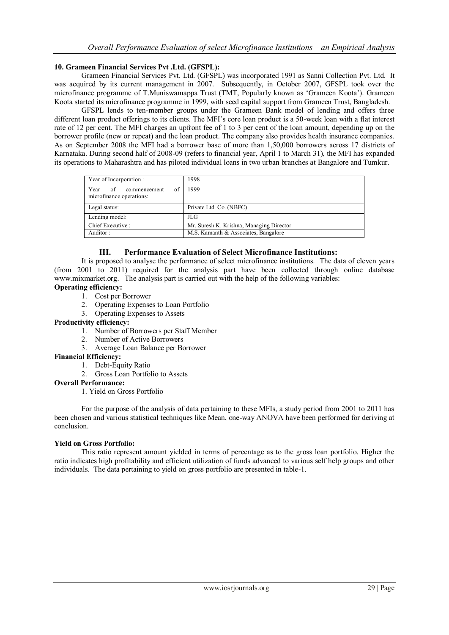## **10. Grameen Financial Services Pvt .Ltd. (GFSPL):**

Grameen Financial Services Pvt. Ltd. (GFSPL) was incorporated 1991 as Sanni Collection Pvt. Ltd. It was acquired by its current management in 2007. Subsequently, in October 2007, GFSPL took over the microfinance programme of T.Muniswamappa Trust (TMT, Popularly known as "Grameen Koota"). Grameen Koota started its microfinance programme in 1999, with seed capital support from Grameen Trust, Bangladesh.

GFSPL lends to ten-member groups under the Grameen Bank model of lending and offers three different loan product offerings to its clients. The MFI"s core loan product is a 50-week loan with a flat interest rate of 12 per cent. The MFI charges an upfront fee of 1 to 3 per cent of the loan amount, depending up on the borrower profile (new or repeat) and the loan product. The company also provides health insurance companies. As on September 2008 the MFI had a borrower base of more than 1,50,000 borrowers across 17 districts of Karnataka. During second half of 2008-09 (refers to financial year, April 1 to March 31), the MFI has expanded its operations to Maharashtra and has piloted individual loans in two urban branches at Bangalore and Tumkur.

| Year of Incorporation:                                       | 1998                                     |
|--------------------------------------------------------------|------------------------------------------|
| of<br>Year<br>of<br>commencement<br>microfinance operations: | 1999                                     |
| Legal status:                                                | Private Ltd. Co. (NBFC)                  |
| Lending model:                                               | JLG                                      |
| Chief Executive :                                            | Mr. Suresh K. Krishna, Managing Director |
| Auditor:                                                     | M.S. Kamanth & Associates, Bangalore     |

## **III. Performance Evaluation of Select Microfinance Institutions:**

It is proposed to analyse the performance of select microfinance institutions. The data of eleven years (from 2001 to 2011) required for the analysis part have been collected through online database [www.mixmarket.org.](http://www.mixmarket.org/) The analysis part is carried out with the help of the following variables:

## **Operating efficiency:**

- 1. Cost per Borrower
- 2. Operating Expenses to Loan Portfolio
- 3. Operating Expenses to Assets

## **Productivity efficiency:**

- 1. Number of Borrowers per Staff Member
- 2. Number of Active Borrowers
- 3. Average Loan Balance per Borrower

## **Financial Efficiency:**

- 1. Debt-Equity Ratio
- 2. Gross Loan Portfolio to Assets

#### **Overall Performance:**

1. Yield on Gross Portfolio

For the purpose of the analysis of data pertaining to these MFIs, a study period from 2001 to 2011 has been chosen and various statistical techniques like Mean, one-way ANOVA have been performed for deriving at conclusion.

## **Yield on Gross Portfolio:**

This ratio represent amount yielded in terms of percentage as to the gross loan portfolio. Higher the ratio indicates high profitability and efficient utilization of funds advanced to various self help groups and other individuals. The data pertaining to yield on gross portfolio are presented in table-1.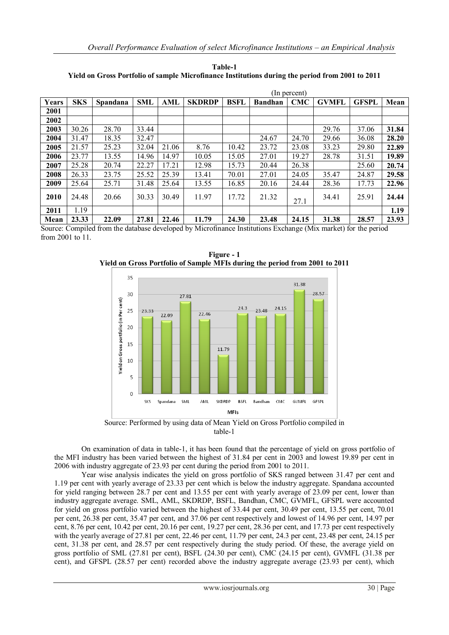**Table-1 Yield on Gross Portfolio of sample Microfinance Institutions during the period from 2001 to 2011**

|       |            |          | (In percent) |       |               |             |                |            |              |              |       |
|-------|------------|----------|--------------|-------|---------------|-------------|----------------|------------|--------------|--------------|-------|
| Years | <b>SKS</b> | Spandana | <b>SML</b>   | AML   | <b>SKDRDP</b> | <b>BSFL</b> | <b>Bandhan</b> | <b>CMC</b> | <b>GVMFL</b> | <b>GFSPL</b> | Mean  |
| 2001  |            |          |              |       |               |             |                |            |              |              |       |
| 2002  |            |          |              |       |               |             |                |            |              |              |       |
| 2003  | 30.26      | 28.70    | 33.44        |       |               |             |                |            | 29.76        | 37.06        | 31.84 |
| 2004  | 31.47      | 18.35    | 32.47        |       |               |             | 24.67          | 24.70      | 29.66        | 36.08        | 28.20 |
| 2005  | 21.57      | 25.23    | 32.04        | 21.06 | 8.76          | 10.42       | 23.72          | 23.08      | 33.23        | 29.80        | 22.89 |
| 2006  | 23.77      | 13.55    | 14.96        | 14.97 | 10.05         | 15.05       | 27.01          | 19.27      | 28.78        | 31.51        | 19.89 |
| 2007  | 25.28      | 20.74    | 22.27        | 17.21 | 12.98         | 15.73       | 20.44          | 26.38      |              | 25.60        | 20.74 |
| 2008  | 26.33      | 23.75    | 25.52        | 25.39 | 13.41         | 70.01       | 27.01          | 24.05      | 35.47        | 24.87        | 29.58 |
| 2009  | 25.64      | 25.71    | 31.48        | 25.64 | 13.55         | 16.85       | 20.16          | 24.44      | 28.36        | 17.73        | 22.96 |
| 2010  | 24.48      | 20.66    | 30.33        | 30.49 | 11.97         | 17.72       | 21.32          | 27.1       | 34.41        | 25.91        | 24.44 |
| 2011  | 1.19       |          |              |       |               |             |                |            |              |              | 1.19  |
| Mean  | 23.33      | 22.09    | 27.81        | 22.46 | 11.79         | 24.30       | 23.48          | 24.15      | 31.38        | 28.57        | 23.93 |

Source: Compiled from the database developed by Microfinance Institutions Exchange (Mix market) for the period from 2001 to 11.



**Figure - 1 Yield on Gross Portfolio of Sample MFIs during the period from 2001 to 2011**

Source: Performed by using data of Mean Yield on Gross Portfolio compiled in table-1

On examination of data in table-1, it has been found that the percentage of yield on gross portfolio of the MFI industry has been varied between the highest of 31.84 per cent in 2003 and lowest 19.89 per cent in 2006 with industry aggregate of 23.93 per cent during the period from 2001 to 2011.

Year wise analysis indicates the yield on gross portfolio of SKS ranged between 31.47 per cent and 1.19 per cent with yearly average of 23.33 per cent which is below the industry aggregate. Spandana accounted for yield ranging between 28.7 per cent and 13.55 per cent with yearly average of 23.09 per cent, lower than industry aggregate average. SML, AML, SKDRDP, BSFL, Bandhan, CMC, GVMFL, GFSPL were accounted for yield on gross portfolio varied between the highest of 33.44 per cent, 30.49 per cent, 13.55 per cent, 70.01 per cent, 26.38 per cent, 35.47 per cent, and 37.06 per cent respectively and lowest of 14.96 per cent, 14.97 per cent, 8.76 per cent, 10.42 per cent, 20.16 per cent, 19.27 per cent, 28.36 per cent, and 17.73 per cent respectively with the yearly average of 27.81 per cent, 22.46 per cent, 11.79 per cent, 24.3 per cent, 23.48 per cent, 24.15 per cent, 31.38 per cent, and 28.57 per cent respectively during the study period. Of these, the average yield on gross portfolio of SML (27.81 per cent), BSFL (24.30 per cent), CMC (24.15 per cent), GVMFL (31.38 per cent), and GFSPL (28.57 per cent) recorded above the industry aggregate average (23.93 per cent), which